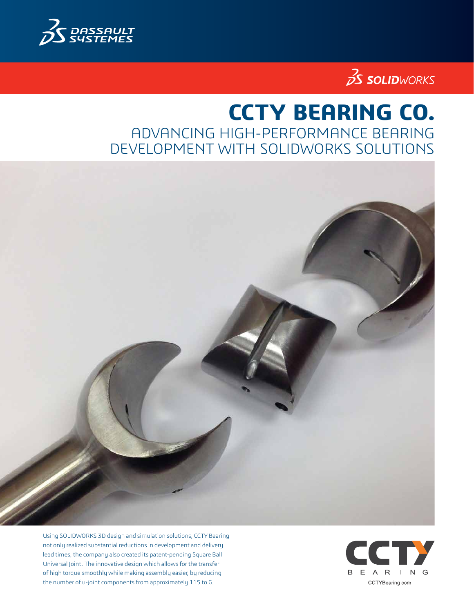



# **CCTY BEARING CO.** ADVANCING HIGH-PERFORMANCE BEARING DEVELOPMENT WITH SOLIDWORKS SOLUTIONS



Using SOLIDWORKS 3D design and simulation solutions, CCTY Bearing not only realized substantial reductions in development and delivery lead times, the company also created its patent-pending Square Ball Universal Joint. The innovative design which allows for the transfer of high torque smoothly while making assembly easier, by reducing the number of u-joint components from approximately 115 to 6.

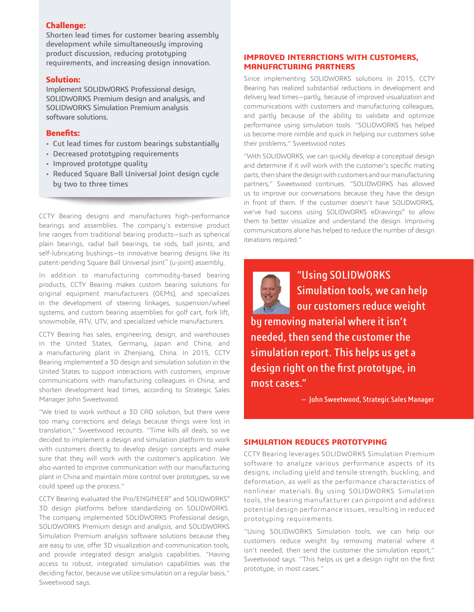## **Challenge:**

Shorten lead times for customer bearing assembly development while simultaneously improving product discussion, reducing prototyping requirements, and increasing design innovation.

#### **Solution:**

Implement SOLIDWORKS Professional design, SOLIDWORKS Premium design and analysis, and SOLIDWORKS Simulation Premium analysis software solutions.

#### **Benefits:**

- Cut lead times for custom bearings substantially
- Decreased prototyping requirements
- Improved prototype quality
- Reduced Square Ball Universal Joint design cycle by two to three times

CCTY Bearing designs and manufactures high-performance bearings and assemblies. The company's extensive product line ranges from traditional bearing products—such as spherical plain bearings, radial ball bearings, tie rods, ball joints, and self-lubricating bushings—to innovative bearing designs like its patent-pending Square Ball Universal Joint™ (u-joint) assembly.

In addition to manufacturing commodity-based bearing products, CCTY Bearing makes custom bearing solutions for original equipment manufacturers (OEMs), and specializes in the development of steering linkages, suspension/wheel systems, and custom bearing assemblies for golf cart, fork lift, snowmobile, ATV, UTV, and specialized vehicle manufacturers.

CCTY Bearing has sales, engineering, design, and warehouses in the United States, Germany, Japan and China, and a manufacturing plant in Zhenjiang, China. In 2015, CCTY Bearing implemented a 3D design and simulation solution in the United States to support interactions with customers, improve communications with manufacturing colleagues in China, and shorten development lead times, according to Strategic Sales Manager John Sweetwood.

"We tried to work without a 3D CAD solution, but there were too many corrections and delays because things were lost in translation," Sweetwood recounts. "Time kills all deals, so we decided to implement a design and simulation platform to work with customers directly to develop design concepts and make sure that they will work with the customer's application. We also wanted to improve communication with our manufacturing plant in China and maintain more control over prototypes, so we could speed up the process."

CCTY Bearing evaluated the Pro/ENGINEER® and SOLIDWORKS® 3D design platforms before standardizing on SOLIDWORKS. The company implemented SOLIDWORKS Professional design, SOLIDWORKS Premium design and analysis, and SOLIDWORKS Simulation Premium analysis software solutions because they are easy to use, offer 3D visualization and communication tools, and provide integrated design analysis capabilities. "Having access to robust, integrated simulation capabilities was the deciding factor, because we utilize simulation on a regular basis," Sweetwood says.

#### **IMPROVED INTERACTIONS WITH CUSTOMERS, MANUFACTURING PARTNERS**

Since implementing SOLIDWORKS solutions in 2015, CCTY Bearing has realized substantial reductions in development and delivery lead times—partly, because of improved visualization and communications with customers and manufacturing colleagues, and partly because of the ability to validate and optimize performance using simulation tools. "SOLIDWORKS has helped us become more nimble and quick in helping our customers solve their problems," Sweetwood notes.

"With SOLIDWORKS, we can quickly develop a conceptual design and determine if it will work with the customer's specific mating parts, then share the design with customers and our manufacturing partners," Sweetwood continues. "SOLIDWORKS has allowed us to improve our conversations because they have the design in front of them. If the customer doesn't have SOLIDWORKS, we've had success using SOLIDWORKS eDrawings® to allow them to better visualize and understand the design. Improving communications alone has helped to reduce the number of design iterations required."

"Using SOLIDWORKS Simulation tools, we can help our customers reduce weight by removing material where it isn't needed, then send the customer the simulation report. This helps us get a design right on the first prototype, in most cases."

— John Sweetwood, Strategic Sales Manager

### **SIMULATION REDUCES PROTOTYPING**

CCTY Bearing leverages SOLIDWORKS Simulation Premium software to analyze various performance aspects of its designs, including yield and tensile strength, buckling, and deformation, as well as the performance characteristics of nonlinear materials. By using SOLIDWORKS Simulation tools, the bearing manufacturer can pinpoint and address potential design performance issues, resulting in reduced prototyping requirements.

"Using SOLIDWORKS Simulation tools, we can help our customers reduce weight by removing material where it isn't needed, then send the customer the simulation report," Sweetwood says. "This helps us get a design right on the first prototype, in most cases."